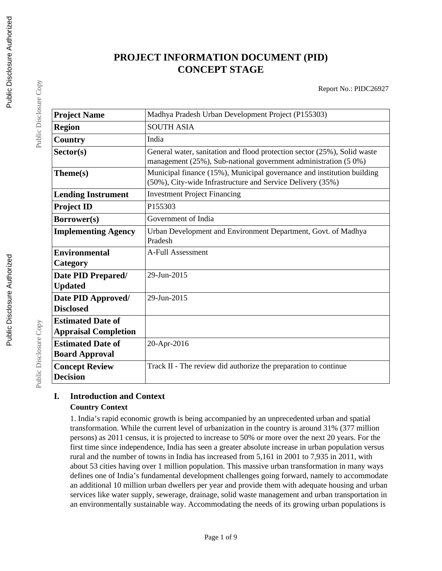# **PROJECT INFORMATION DOCUMENT (PID) CONCEPT STAGE**

Report No.: PIDC26927

| <b>Project Name</b>                                     | Madhya Pradesh Urban Development Project (P155303)                                                                                          |
|---------------------------------------------------------|---------------------------------------------------------------------------------------------------------------------------------------------|
| <b>Region</b>                                           | <b>SOUTH ASIA</b>                                                                                                                           |
| Country                                                 | India                                                                                                                                       |
| Sector(s)                                               | General water, sanitation and flood protection sector (25%), Solid waste<br>management (25%), Sub-national government administration (5 0%) |
| Theme(s)                                                | Municipal finance (15%), Municipal governance and institution building<br>(50%), City-wide Infrastructure and Service Delivery (35%)        |
| <b>Lending Instrument</b>                               | <b>Investment Project Financing</b>                                                                                                         |
| <b>Project ID</b>                                       | P155303                                                                                                                                     |
| Borrower(s)                                             | Government of India                                                                                                                         |
| <b>Implementing Agency</b>                              | Urban Development and Environment Department, Govt. of Madhya<br>Pradesh                                                                    |
| <b>Environmental</b><br>Category                        | A-Full Assessment                                                                                                                           |
| Date PID Prepared/<br><b>Updated</b>                    | 29-Jun-2015                                                                                                                                 |
| Date PID Approved/<br><b>Disclosed</b>                  | 29-Jun-2015                                                                                                                                 |
| <b>Estimated Date of</b><br><b>Appraisal Completion</b> |                                                                                                                                             |
| <b>Estimated Date of</b><br><b>Board Approval</b>       | 20-Apr-2016                                                                                                                                 |
| <b>Concept Review</b><br><b>Decision</b>                | Track II - The review did authorize the preparation to continue                                                                             |

# **I. Introduction and Context Country Context**

1. India's rapid economic growth is being accompanied by an unprecedented urban and spatial transformation. While the current level of urbanization in the country is around 31% (377 million persons) as 2011 census, it is projected to increase to 50% or more over the next 20 years. For the first time since independence, India has seen a greater absolute increase in urban population versus rural and the number of towns in India has increased from 5,161 in 2001 to 7,935 in 2011, with about 53 cities having over 1 million population. This massive urban transformation in many ways defines one of India's fundamental development challenges going forward, namely to accommodate an additional 10 million urban dwellers per year and provide them with adequate housing and urban services like water supply, sewerage, drainage, solid waste management and urban transportation in an environmentally sustainable way. Accommodating the needs of its growing urban populations is

Public Disclosure Copy

Public Disclosure Copy

Public Disclosure Copy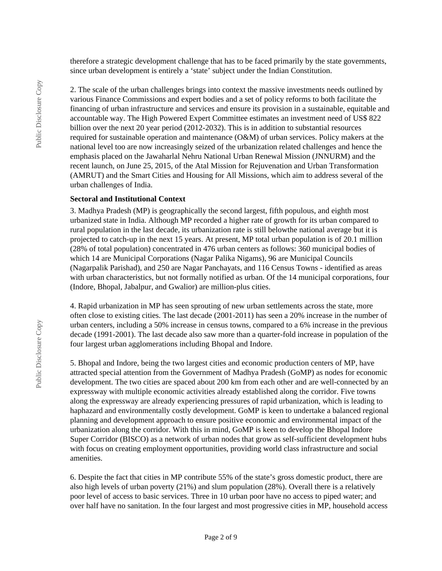therefore a strategic development challenge that has to be faced primarily by the state governments, since urban development is entirely a 'state' subject under the Indian Constitution.

2. The scale of the urban challenges brings into context the massive investments needs outlined by various Finance Commissions and expert bodies and a set of policy reforms to both facilitate the financing of urban infrastructure and services and ensure its provision in a sustainable, equitable and accountable way. The High Powered Expert Committee estimates an investment need of US\$ 822 billion over the next 20 year period (2012-2032). This is in addition to substantial resources required for sustainable operation and maintenance (O&M) of urban services. Policy makers at the national level too are now increasingly seized of the urbanization related challenges and hence the emphasis placed on the Jawaharlal Nehru National Urban Renewal Mission (JNNURM) and the recent launch, on June 25, 2015, of the Atal Mission for Rejuvenation and Urban Transformation (AMRUT) and the Smart Cities and Housing for All Missions, which aim to address several of the urban challenges of India.

#### **Sectoral and Institutional Context**

3. Madhya Pradesh (MP) is geographically the second largest, fifth populous, and eighth most urbanized state in India. Although MP recorded a higher rate of growth for its urban compared to rural population in the last decade, its urbanization rate is still belowthe national average but it is projected to catch-up in the next 15 years. At present, MP total urban population is of 20.1 million (28% of total population) concentrated in 476 urban centers as follows: 360 municipal bodies of which 14 are Municipal Corporations (Nagar Palika Nigams), 96 are Municipal Councils (Nagarpalik Parishad), and 250 are Nagar Panchayats, and 116 Census Towns - identified as areas with urban characteristics, but not formally notified as urban. Of the 14 municipal corporations, four (Indore, Bhopal, Jabalpur, and Gwalior) are million-plus cities.

4. Rapid urbanization in MP has seen sprouting of new urban settlements across the state, more often close to existing cities. The last decade (2001-2011) has seen a 20% increase in the number of urban centers, including a 50% increase in census towns, compared to a 6% increase in the previous decade (1991-2001). The last decade also saw more than a quarter-fold increase in population of the four largest urban agglomerations including Bhopal and Indore.

5. Bhopal and Indore, being the two largest cities and economic production centers of MP, have attracted special attention from the Government of Madhya Pradesh (GoMP) as nodes for economic development. The two cities are spaced about 200 km from each other and are well-connected by an expressway with multiple economic activities already established along the corridor. Five towns along the expressway are already experiencing pressures of rapid urbanization, which is leading to haphazard and environmentally costly development. GoMP is keen to undertake a balanced regional planning and development approach to ensure positive economic and environmental impact of the urbanization along the corridor. With this in mind, GoMP is keen to develop the Bhopal Indore Super Corridor (BISCO) as a network of urban nodes that grow as self-sufficient development hubs with focus on creating employment opportunities, providing world class infrastructure and social amenities.

6. Despite the fact that cities in MP contribute 55% of the state's gross domestic product, there are also high levels of urban poverty (21%) and slum population (28%). Overall there is a relatively poor level of access to basic services. Three in 10 urban poor have no access to piped water; and over half have no sanitation. In the four largest and most progressive cities in MP, household access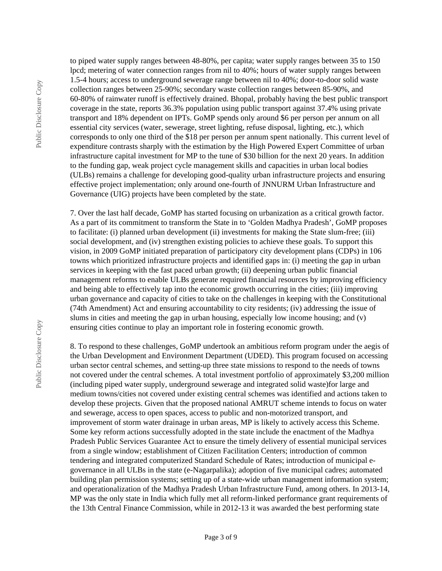Public Disclosure Copy Public Disclosure Copy to piped water supply ranges between 48-80%, per capita; water supply ranges between 35 to 150 lpcd; metering of water connection ranges from nil to 40%; hours of water supply ranges between 1.5-4 hours; access to underground sewerage range between nil to 40%; door-to-door solid waste collection ranges between 25-90%; secondary waste collection ranges between 85-90%, and 60-80% of rainwater runoff is effectively drained. Bhopal, probably having the best public transport coverage in the state, reports 36.3% population using public transport against 37.4% using private transport and 18% dependent on IPTs. GoMP spends only around \$6 per person per annum on all essential city services (water, sewerage, street lighting, refuse disposal, lighting, etc.), which corresponds to only one third of the \$18 per person per annum spent nationally. This current level of expenditure contrasts sharply with the estimation by the High Powered Expert Committee of urban infrastructure capital investment for MP to the tune of \$30 billion for the next 20 years. In addition to the funding gap, weak project cycle management skills and capacities in urban local bodies (ULBs) remains a challenge for developing good-quality urban infrastructure projects and ensuring effective project implementation; only around one-fourth of JNNURM Urban Infrastructure and Governance (UIG) projects have been completed by the state.

7. Over the last half decade, GoMP has started focusing on urbanization as a critical growth factor. As a part of its commitment to transform the State in to 'Golden Madhya Pradesh', GoMP proposes to facilitate: (i) planned urban development (ii) investments for making the State slum-free; (iii) social development, and (iv) strengthen existing policies to achieve these goals. To support this vision, in 2009 GoMP initiated preparation of participatory city development plans (CDPs) in 106 towns which prioritized infrastructure projects and identified gaps in: (i) meeting the gap in urban services in keeping with the fast paced urban growth; (ii) deepening urban public financial management reforms to enable ULBs generate required financial resources by improving efficiency and being able to effectively tap into the economic growth occurring in the cities; (iii) improving urban governance and capacity of cities to take on the challenges in keeping with the Constitutional (74th Amendment) Act and ensuring accountability to city residents; (iv) addressing the issue of slums in cities and meeting the gap in urban housing, especially low income housing; and (v) ensuring cities continue to play an important role in fostering economic growth.

8. To respond to these challenges, GoMP undertook an ambitious reform program under the aegis of the Urban Development and Environment Department (UDED). This program focused on accessing urban sector central schemes, and setting-up three state missions to respond to the needs of towns not covered under the central schemes. A total investment portfolio of approximately \$3,200 million (including piped water supply, underground sewerage and integrated solid waste)for large and medium towns/cities not covered under existing central schemes was identified and actions taken to develop these projects. Given that the proposed national AMRUT scheme intends to focus on water and sewerage, access to open spaces, access to public and non-motorized transport, and improvement of storm water drainage in urban areas, MP is likely to actively access this Scheme. Some key reform actions successfully adopted in the state include the enactment of the Madhya Pradesh Public Services Guarantee Act to ensure the timely delivery of essential municipal services from a single window; establishment of Citizen Facilitation Centers; introduction of common tendering and integrated computerized Standard Schedule of Rates; introduction of municipal egovernance in all ULBs in the state (e-Nagarpalika); adoption of five municipal cadres; automated building plan permission systems; setting up of a state-wide urban management information system; and operationalization of the Madhya Pradesh Urban Infrastructure Fund, among others. In 2013-14, MP was the only state in India which fully met all reform-linked performance grant requirements of the 13th Central Finance Commission, while in 2012-13 it was awarded the best performing state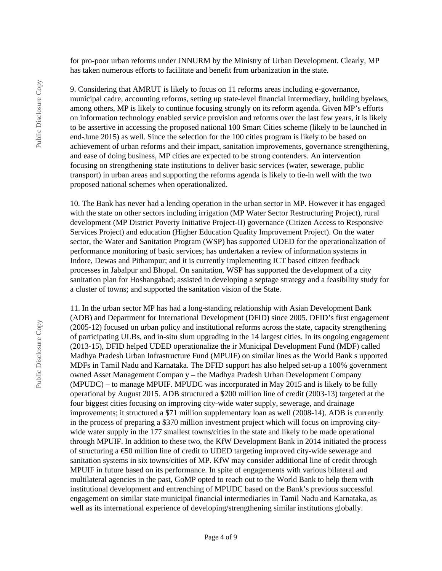for pro-poor urban reforms under JNNURM by the Ministry of Urban Development. Clearly, MP has taken numerous efforts to facilitate and benefit from urbanization in the state.

9. Considering that AMRUT is likely to focus on 11 reforms areas including e-governance, municipal cadre, accounting reforms, setting up state-level financial intermediary, building byelaws, among others, MP is likely to continue focusing strongly on its reform agenda. Given MP's efforts on information technology enabled service provision and reforms over the last few years, it is likely to be assertive in accessing the proposed national 100 Smart Cities scheme (likely to be launched in end-June 2015) as well. Since the selection for the 100 cities program is likely to be based on achievement of urban reforms and their impact, sanitation improvements, governance strengthening, and ease of doing business, MP cities are expected to be strong contenders. An intervention focusing on strengthening state institutions to deliver basic services (water, sewerage, public transport) in urban areas and supporting the reforms agenda is likely to tie-in well with the two proposed national schemes when operationalized.

10. The Bank has never had a lending operation in the urban sector in MP. However it has engaged with the state on other sectors including irrigation (MP Water Sector Restructuring Project), rural development (MP District Poverty Initiative Project-II) governance (Citizen Access to Responsive Services Project) and education (Higher Education Quality Improvement Project). On the water sector, the Water and Sanitation Program (WSP) has supported UDED for the operationalization of performance monitoring of basic services; has undertaken a review of information systems in Indore, Dewas and Pithampur; and it is currently implementing ICT based citizen feedback processes in Jabalpur and Bhopal. On sanitation, WSP has supported the development of a city sanitation plan for Hoshangabad; assisted in developing a septage strategy and a feasibility study for a cluster of towns; and supported the sanitation vision of the State.

11. In the urban sector MP has had a long-standing relationship with Asian Development Bank (ADB) and Department for International Development (DFID) since 2005. DFID's first engagement (2005-12) focused on urban policy and institutional reforms across the state, capacity strengthening of participating ULBs, and in-situ slum upgrading in the 14 largest cities. In its ongoing engagement (2013-15), DFID helped UDED operationalize the ir Municipal Development Fund (MDF) called Madhya Pradesh Urban Infrastructure Fund (MPUIF) on similar lines as the World Bank s upported MDFs in Tamil Nadu and Karnataka. The DFID support has also helped set-up a 100% government owned Asset Management Compan y – the Madhya Pradesh Urban Development Company (MPUDC) – to manage MPUIF. MPUDC was incorporated in May 2015 and is likely to be fully operational by August 2015. ADB structured a \$200 million line of credit (2003-13) targeted at the four biggest cities focusing on improving city-wide water supply, sewerage, and drainage improvements; it structured a \$71 million supplementary loan as well (2008-14). ADB is currently in the process of preparing a \$370 million investment project which will focus on improving citywide water supply in the 177 smallest towns/cities in the state and likely to be made operational through MPUIF. In addition to these two, the KfW Development Bank in 2014 initiated the process of structuring a €50 million line of credit to UDED targeting improved city-wide sewerage and sanitation systems in six towns/cities of MP. KfW may consider additional line of credit through MPUIF in future based on its performance. In spite of engagements with various bilateral and multilateral agencies in the past, GoMP opted to reach out to the World Bank to help them with institutional development and entrenching of MPUDC based on the Bank's previous successful engagement on similar state municipal financial intermediaries in Tamil Nadu and Karnataka, as well as its international experience of developing/strengthening similar institutions globally.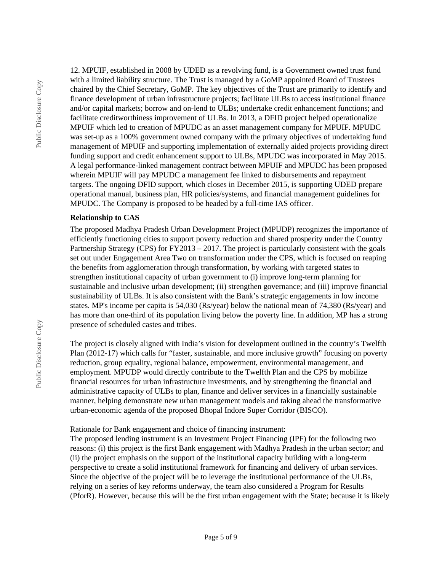12. MPUIF, established in 2008 by UDED as a revolving fund, is a Government owned trust fund with a limited liability structure. The Trust is managed by a GoMP appointed Board of Trustees chaired by the Chief Secretary, GoMP. The key objectives of the Trust are primarily to identify and finance development of urban infrastructure projects; facilitate ULBs to access institutional finance and/or capital markets; borrow and on-lend to ULBs; undertake credit enhancement functions; and facilitate creditworthiness improvement of ULBs. In 2013, a DFID project helped operationalize MPUIF which led to creation of MPUDC as an asset management company for MPUIF. MPUDC was set-up as a 100% government owned company with the primary objectives of undertaking fund management of MPUIF and supporting implementation of externally aided projects providing direct funding support and credit enhancement support to ULBs, MPUDC was incorporated in May 2015. A legal performance-linked management contract between MPUIF and MPUDC has been proposed wherein MPUIF will pay MPUDC a management fee linked to disbursements and repayment targets. The ongoing DFID support, which closes in December 2015, is supporting UDED prepare operational manual, business plan, HR policies/systems, and financial management guidelines for MPUDC. The Company is proposed to be headed by a full-time IAS officer.

#### **Relationship to CAS**

The proposed Madhya Pradesh Urban Development Project (MPUDP) recognizes the importance of efficiently functioning cities to support poverty reduction and shared prosperity under the Country Partnership Strategy (CPS) for FY2013 – 2017. The project is particularly consistent with the goals set out under Engagement Area Two on transformation under the CPS, which is focused on reaping the benefits from agglomeration through transformation, by working with targeted states to strengthen institutional capacity of urban government to (i) improve long-term planning for sustainable and inclusive urban development; (ii) strengthen governance; and (iii) improve financial sustainability of ULBs. It is also consistent with the Bank's strategic engagements in low income states. MP's income per capita is 54,030 (Rs/year) below the national mean of 74,380 (Rs/year) and has more than one-third of its population living below the poverty line. In addition, MP has a strong presence of scheduled castes and tribes.

The project is closely aligned with India's vision for development outlined in the country's Twelfth Plan (2012-17) which calls for "faster, sustainable, and more inclusive growth" focusing on poverty reduction, group equality, regional balance, empowerment, environmental management, and employment. MPUDP would directly contribute to the Twelfth Plan and the CPS by mobilize financial resources for urban infrastructure investments, and by strengthening the financial and administrative capacity of ULBs to plan, finance and deliver services in a financially sustainable manner, helping demonstrate new urban management models and taking ahead the transformative urban-economic agenda of the proposed Bhopal Indore Super Corridor (BISCO).

Rationale for Bank engagement and choice of financing instrument:

The proposed lending instrument is an Investment Project Financing (IPF) for the following two reasons: (i) this project is the first Bank engagement with Madhya Pradesh in the urban sector; and (ii) the project emphasis on the support of the institutional capacity building with a long-term perspective to create a solid institutional framework for financing and delivery of urban services. Since the objective of the project will be to leverage the institutional performance of the ULBs, relying on a series of key reforms underway, the team also considered a Program for Results (PforR). However, because this will be the first urban engagement with the State; because it is likely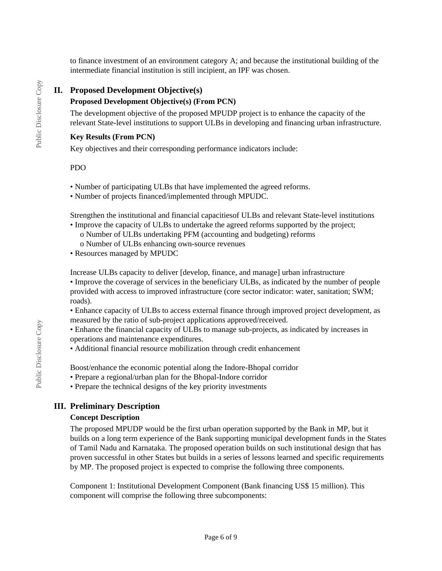to finance investment of an environment category A; and because the institutional building of the intermediate financial institution is still incipient, an IPF was chosen.

# **II. Proposed Development Objective(s)**

# **Proposed Development Objective(s) (From PCN)**

The development objective of the proposed MPUDP project is to enhance the capacity of the relevant State-level institutions to support ULBs in developing and financing urban infrastructure.

### **Key Results (From PCN)**

Key objectives and their corresponding performance indicators include:

#### PDO

- Number of participating ULBs that have implemented the agreed reforms.
- Number of projects financed/implemented through MPUDC.

Strengthen the institutional and financial capacitiesof ULBs and relevant State-level institutions

- Improve the capacity of ULBs to undertake the agreed reforms supported by the project;
	- o Number of ULBs undertaking PFM (accounting and budgeting) reforms
	- o Number of ULBs enhancing own-source revenues
- Resources managed by MPUDC

Increase ULBs capacity to deliver [develop, finance, and manage] urban infrastructure

• Improve the coverage of services in the beneficiary ULBs, as indicated by the number of people provided with access to improved infrastructure (core sector indicator: water, sanitation; SWM; roads).

• Enhance capacity of ULBs to access external finance through improved project development, as measured by the ratio of sub-project applications approved/received.

• Enhance the financial capacity of ULBs to manage sub-projects, as indicated by increases in operations and maintenance expenditures.

• Additional financial resource mobilization through credit enhancement

Boost/enhance the economic potential along the Indore-Bhopal corridor

- Prepare a regional/urban plan for the Bhopal-Indore corridor
- Prepare the technical designs of the key priority investments

# **III. Preliminary Description**

#### **Concept Description**

The proposed MPUDP would be the first urban operation supported by the Bank in MP, but it builds on a long term experience of the Bank supporting municipal development funds in the States of Tamil Nadu and Karnataka. The proposed operation builds on such institutional design that has proven successful in other States but builds in a series of lessons learned and specific requirements by MP. The proposed project is expected to comprise the following three components.

Component 1: Institutional Development Component (Bank financing US\$ 15 million). This component will comprise the following three subcomponents: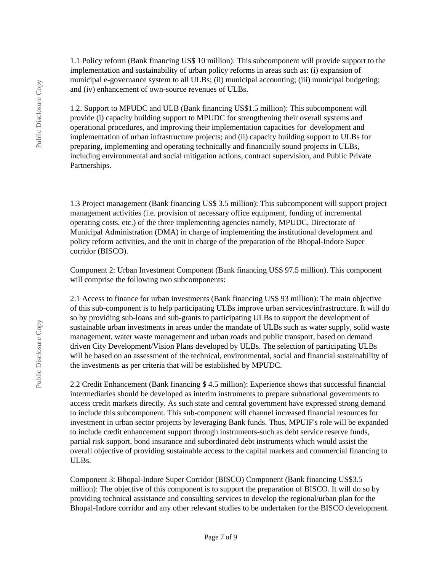1.1 Policy reform (Bank financing US\$ 10 million): This subcomponent will provide support to the implementation and sustainability of urban policy reforms in areas such as: (i) expansion of municipal e-governance system to all ULBs; (ii) municipal accounting; (iii) municipal budgeting; and (iv) enhancement of own-source revenues of ULBs.

1.2. Support to MPUDC and ULB (Bank financing US\$1.5 million): This subcomponent will provide (i) capacity building support to MPUDC for strengthening their overall systems and operational procedures, and improving their implementation capacities for development and implementation of urban infrastructure projects; and (ii) capacity building support to ULBs for preparing, implementing and operating technically and financially sound projects in ULBs, including environmental and social mitigation actions, contract supervision, and Public Private Partnerships.

1.3 Project management (Bank financing US\$ 3.5 million): This subcomponent will support project management activities (i.e. provision of necessary office equipment, funding of incremental operating costs, etc.) of the three implementing agencies namely, MPUDC, Directorate of Municipal Administration (DMA) in charge of implementing the institutional development and policy reform activities, and the unit in charge of the preparation of the Bhopal-Indore Super corridor (BISCO).

Component 2: Urban Investment Component (Bank financing US\$ 97.5 million). This component will comprise the following two subcomponents:

2.1 Access to finance for urban investments (Bank financing US\$ 93 million): The main objective of this sub-component is to help participating ULBs improve urban services/infrastructure. It will do so by providing sub-loans and sub-grants to participating ULBs to support the development of sustainable urban investments in areas under the mandate of ULBs such as water supply, solid waste management, water waste management and urban roads and public transport, based on demand driven City Development/Vision Plans developed by ULBs. The selection of participating ULBs will be based on an assessment of the technical, environmental, social and financial sustainability of the investments as per criteria that will be established by MPUDC.

2.2 Credit Enhancement (Bank financing \$ 4.5 million): Experience shows that successful financial intermediaries should be developed as interim instruments to prepare subnational governments to access credit markets directly. As such state and central government have expressed strong demand to include this subcomponent. This sub-component will channel increased financial resources for investment in urban sector projects by leveraging Bank funds. Thus, MPUIF's role will be expanded to include credit enhancement support through instruments-such as debt service reserve funds, partial risk support, bond insurance and subordinated debt instruments which would assist the overall objective of providing sustainable access to the capital markets and commercial financing to ULBs.

Component 3: Bhopal-Indore Super Corridor (BISCO) Component (Bank financing US\$3.5 million): The objective of this component is to support the preparation of BISCO. It will do so by providing technical assistance and consulting services to develop the regional/urban plan for the Bhopal-Indore corridor and any other relevant studies to be undertaken for the BISCO development.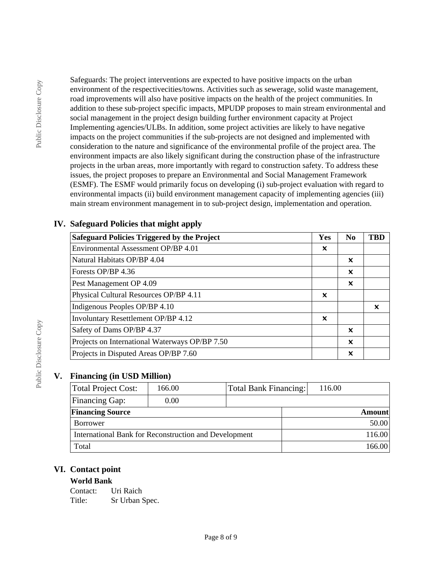Safeguards: The project interventions are expected to have positive impacts on the urban environment of the respectivecities/towns. Activities such as sewerage, solid waste management, road improvements will also have positive impacts on the health of the project communities. In addition to these sub-project specific impacts, MPUDP proposes to main stream environmental and social management in the project design building further environment capacity at Project Implementing agencies/ULBs. In addition, some project activities are likely to have negative impacts on the project communities if the sub-projects are not designed and implemented with consideration to the nature and significance of the environmental profile of the project area. The environment impacts are also likely significant during the construction phase of the infrastructure projects in the urban areas, more importantly with regard to construction safety. To address these issues, the project proposes to prepare an Environmental and Social Management Framework (ESMF). The ESMF would primarily focus on developing (i) sub-project evaluation with regard to environmental impacts (ii) build environment management capacity of implementing agencies (iii) main stream environment management in to sub-project design, implementation and operation.

| <b>Safeguard Policies Triggered by the Project</b> | Yes                       | N <sub>0</sub>            | TBD |
|----------------------------------------------------|---------------------------|---------------------------|-----|
| Environmental Assessment OP/BP 4.01                | $\boldsymbol{\mathsf{x}}$ |                           |     |
| Natural Habitats OP/BP 4.04                        |                           | $\boldsymbol{\mathsf{x}}$ |     |
| Forests OP/BP 4.36                                 |                           | $\boldsymbol{\mathsf{x}}$ |     |
| Pest Management OP 4.09                            |                           | $\boldsymbol{\mathsf{x}}$ |     |
| Physical Cultural Resources OP/BP 4.11             | $\boldsymbol{\mathsf{x}}$ |                           |     |
| Indigenous Peoples OP/BP 4.10                      |                           |                           | ×   |
| Involuntary Resettlement OP/BP 4.12                | $\boldsymbol{\mathsf{x}}$ |                           |     |
| Safety of Dams OP/BP 4.37                          |                           | $\boldsymbol{\mathsf{x}}$ |     |
| Projects on International Waterways OP/BP 7.50     |                           | $\boldsymbol{\mathsf{x}}$ |     |
| Projects in Disputed Areas OP/BP 7.60              |                           | X                         |     |

# **IV. Safeguard Policies that might apply**

# **V. Financing (in USD Million)**

| Total Project Cost:                                   | 166.00 | Total Bank Financing: | 116.00        |  |
|-------------------------------------------------------|--------|-----------------------|---------------|--|
| <b>Financing Gap:</b>                                 | 0.00   |                       |               |  |
| <b>Financing Source</b>                               |        |                       | <b>Amount</b> |  |
| Borrower                                              |        |                       | 50.00         |  |
| International Bank for Reconstruction and Development |        |                       | 116.00        |  |
| Total                                                 |        |                       | 166.00        |  |

# **VI. Contact point**

# **World Bank**

Contact: Uri Raich Title: Sr Urban Spec.